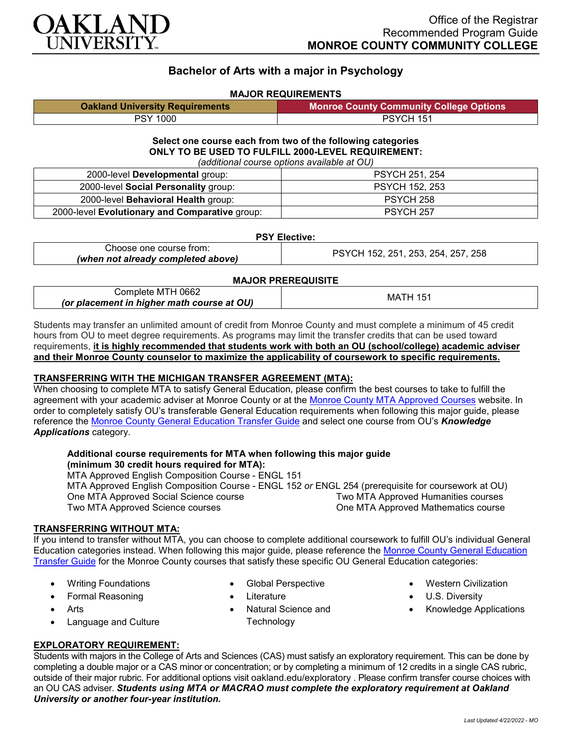

# **Bachelor of Arts with a major in Psychology**

## **MAJOR REQUIREMENTS**

| <b>Oakland University Requirements</b> | <b>Monroe County Community College Options</b> |
|----------------------------------------|------------------------------------------------|
| <b>PSY 1000</b>                        | PSYCH 151                                      |

#### **Select one course each from two of the following categories ONLY TO BE USED TO FULFILL 2000-LEVEL REQUIREMENT:** *(additional course options available at OU)*

| (additional course options available at OOT    |                       |  |
|------------------------------------------------|-----------------------|--|
| 2000-level Developmental group:                | <b>PSYCH 251, 254</b> |  |
| 2000-level Social Personality group:           | <b>PSYCH 152, 253</b> |  |
| 2000-level Behavioral Health group:            | PSYCH 258             |  |
| 2000-level Evolutionary and Comparative group: | PSYCH 257             |  |

## **PSY Elective:**

| Choose one course from:            | PSYCH 152, 251, 253, 254, 257, 258 |
|------------------------------------|------------------------------------|
| (when not already completed above) |                                    |
|                                    |                                    |

## **MAJOR PREREQUISITE**

| MTH 0662 ؛<br>Complete                     | 15<br>МA<br>. H |
|--------------------------------------------|-----------------|
| (or placement in higher math course at OU) |                 |

Students may transfer an unlimited amount of credit from Monroe County and must complete a minimum of 45 credit hours from OU to meet degree requirements. As programs may limit the transfer credits that can be used toward requirements, **it is highly recommended that students work with both an OU (school/college) academic adviser and their Monroe County counselor to maximize the applicability of coursework to specific requirements.**

## **TRANSFERRING WITH THE MICHIGAN TRANSFER AGREEMENT (MTA):**

When choosing to complete MTA to satisfy General Education, please confirm the best courses to take to fulfill the agreement with your academic adviser at Monroe County or at the [Monroe County MTA Approved Courses](https://www.monroeccc.edu/transfer/michigan-transfer-agreement) website. In order to completely satisfy OU's transferable General Education requirements when following this major guide, please reference the [Monroe County General Education Transfer Guide](https://www.oakland.edu/Assets/Oakland/program-guides/monroe-county-community-college/university-general-education-requirements/Monroe%20County%20Gen%20Ed.pdf) and select one course from OU's *Knowledge Applications* category.

#### **Additional course requirements for MTA when following this major guide (minimum 30 credit hours required for MTA):**

MTA Approved English Composition Course - ENGL 151 MTA Approved English Composition Course - ENGL 152 *or* ENGL 254 (prerequisite for coursework at OU) One MTA Approved Social Science course Two MTA Approved Science courses **One MTA Approved Mathematics course** 

## **TRANSFERRING WITHOUT MTA:**

If you intend to transfer without MTA, you can choose to complete additional coursework to fulfill OU's individual General Education categories instead. When following this major guide, please reference the [Monroe County General Education](https://www.oakland.edu/Assets/Oakland/program-guides/monroe-county-community-college/university-general-education-requirements/Monroe%20County%20Gen%20Ed.pdf)  [Transfer Guide](https://www.oakland.edu/Assets/Oakland/program-guides/monroe-county-community-college/university-general-education-requirements/Monroe%20County%20Gen%20Ed.pdf) for the Monroe County courses that satisfy these specific OU General Education categories:

- Writing Foundations
- Formal Reasoning
- Arts
- Language and Culture
- Global Perspective
- Literature
- Natural Science and **Technology**
- Western Civilization
- U.S. Diversity
- Knowledge Applications

## **EXPLORATORY REQUIREMENT:**

Students with majors in the College of Arts and Sciences (CAS) must satisfy an exploratory requirement. This can be done by completing a double major or a CAS minor or concentration; or by completing a minimum of 12 credits in a single CAS rubric, outside of their major rubric. For additional options visit [oakland.edu/exploratory](http://www.oakland.edu/exploratory) . Please confirm transfer course choices with an OU CAS adviser. *Students using MTA or MACRAO must complete the exploratory requirement at Oakland University or another four-year institution.*